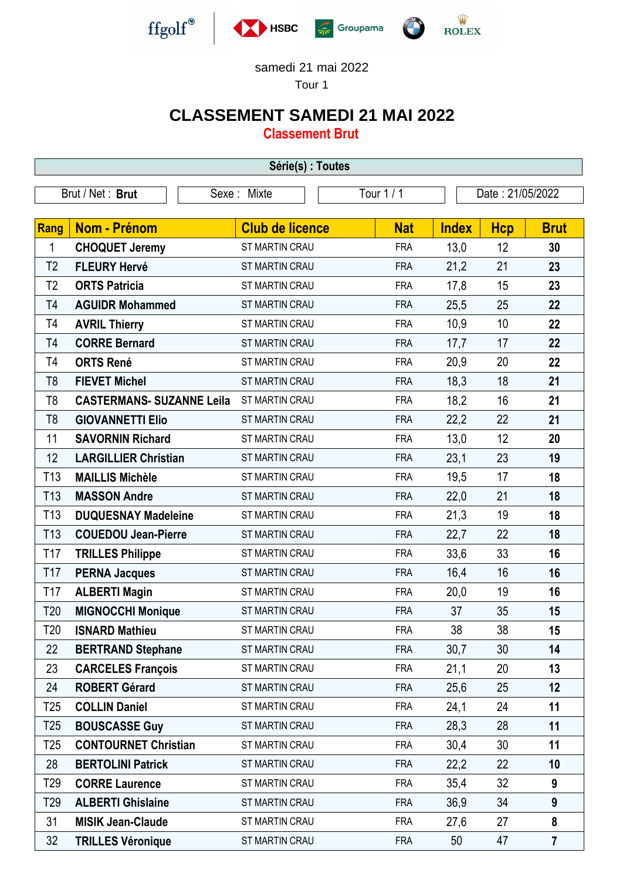

## samedi 21 mai 2022

Tour 1

## **CLASSEMENT SAMEDI 21 MAI 2022**

**Classement Brut**

| Série(s) : Toutes |                                  |                        |            |                  |            |                |  |  |  |  |
|-------------------|----------------------------------|------------------------|------------|------------------|------------|----------------|--|--|--|--|
|                   | Brut / Net: Brut                 | Sexe: Mixte            | Tour 1 / 1 | Date: 21/05/2022 |            |                |  |  |  |  |
|                   |                                  |                        |            |                  |            |                |  |  |  |  |
| Rang              | <b>Nom - Prénom</b>              | <b>Club de licence</b> | <b>Nat</b> | <b>Index</b>     | <b>Hcp</b> | <b>Brut</b>    |  |  |  |  |
| 1                 | <b>CHOQUET Jeremy</b>            | ST MARTIN CRAU         | <b>FRA</b> | 13,0             | 12         | 30             |  |  |  |  |
| T <sub>2</sub>    | <b>FLEURY Hervé</b>              | ST MARTIN CRAU         | <b>FRA</b> | 21,2             | 21         | 23             |  |  |  |  |
| T <sub>2</sub>    | <b>ORTS Patricia</b>             | ST MARTIN CRAU         | <b>FRA</b> | 17,8             | 15         | 23             |  |  |  |  |
| T4                | <b>AGUIDR Mohammed</b>           | ST MARTIN CRAU         | <b>FRA</b> | 25,5             | 25         | 22             |  |  |  |  |
| T4                | <b>AVRIL Thierry</b>             | ST MARTIN CRAU         | <b>FRA</b> | 10,9             | 10         | 22             |  |  |  |  |
| T4                | <b>CORRE Bernard</b>             | ST MARTIN CRAU         | <b>FRA</b> | 17,7             | 17         | 22             |  |  |  |  |
| T4                | <b>ORTS René</b>                 | ST MARTIN CRAU         | <b>FRA</b> | 20,9             | 20         | 22             |  |  |  |  |
| T <sub>8</sub>    | <b>FIEVET Michel</b>             | ST MARTIN CRAU         | <b>FRA</b> | 18,3             | 18         | 21             |  |  |  |  |
| T <sub>8</sub>    | <b>CASTERMANS- SUZANNE Leila</b> | ST MARTIN CRAU         | <b>FRA</b> | 18,2             | 16         | 21             |  |  |  |  |
| T <sub>8</sub>    | <b>GIOVANNETTI Elio</b>          | ST MARTIN CRAU         | <b>FRA</b> | 22,2             | 22         | 21             |  |  |  |  |
| 11                | <b>SAVORNIN Richard</b>          | ST MARTIN CRAU         | <b>FRA</b> | 13,0             | 12         | 20             |  |  |  |  |
| 12                | <b>LARGILLIER Christian</b>      | <b>ST MARTIN CRAU</b>  | <b>FRA</b> | 23,1             | 23         | 19             |  |  |  |  |
| T <sub>13</sub>   | <b>MAILLIS Michèle</b>           | ST MARTIN CRAU         | <b>FRA</b> | 19,5             | 17         | 18             |  |  |  |  |
| T <sub>13</sub>   | <b>MASSON Andre</b>              | ST MARTIN CRAU         | <b>FRA</b> | 22,0             | 21         | 18             |  |  |  |  |
| T <sub>13</sub>   | <b>DUQUESNAY Madeleine</b>       | ST MARTIN CRAU         | <b>FRA</b> | 21,3             | 19         | 18             |  |  |  |  |
| T <sub>13</sub>   | <b>COUEDOU Jean-Pierre</b>       | ST MARTIN CRAU         | <b>FRA</b> | 22,7             | 22         | 18             |  |  |  |  |
| T <sub>17</sub>   | <b>TRILLES Philippe</b>          | ST MARTIN CRAU         | <b>FRA</b> | 33,6             | 33         | 16             |  |  |  |  |
| T17               | <b>PERNA Jacques</b>             | ST MARTIN CRAU         | <b>FRA</b> | 16,4             | 16         | 16             |  |  |  |  |
| T17               | <b>ALBERTI Magin</b>             | ST MARTIN CRAU         | <b>FRA</b> | 20,0             | 19         | 16             |  |  |  |  |
| T20               | <b>MIGNOCCHI Monique</b>         | ST MARTIN CRAU         | <b>FRA</b> | 37               | 35         | 15             |  |  |  |  |
| T20               | <b>ISNARD Mathieu</b>            | ST MARTIN CRAU         | FRA        | 38               | 38         | 15             |  |  |  |  |
| 22                | <b>BERTRAND Stephane</b>         | ST MARTIN CRAU         | <b>FRA</b> | 30,7             | 30         | 14             |  |  |  |  |
| 23                | <b>CARCELES François</b>         | ST MARTIN CRAU         | <b>FRA</b> | 21,1             | 20         | 13             |  |  |  |  |
| 24                | <b>ROBERT Gérard</b>             | ST MARTIN CRAU         | <b>FRA</b> | 25,6             | 25         | 12             |  |  |  |  |
| T <sub>25</sub>   | <b>COLLIN Daniel</b>             | ST MARTIN CRAU         | <b>FRA</b> | 24,1             | 24         | 11             |  |  |  |  |
| T <sub>25</sub>   | <b>BOUSCASSE Guy</b>             | ST MARTIN CRAU         | <b>FRA</b> | 28,3             | 28         | 11             |  |  |  |  |
| T <sub>25</sub>   | <b>CONTOURNET Christian</b>      | ST MARTIN CRAU         | <b>FRA</b> | 30,4             | 30         | 11             |  |  |  |  |
| 28                | <b>BERTOLINI Patrick</b>         | ST MARTIN CRAU         | <b>FRA</b> | 22,2             | 22         | 10             |  |  |  |  |
| T <sub>29</sub>   | <b>CORRE Laurence</b>            | ST MARTIN CRAU         | <b>FRA</b> | 35,4             | 32         | 9              |  |  |  |  |
| T <sub>29</sub>   | <b>ALBERTI Ghislaine</b>         | ST MARTIN CRAU         | <b>FRA</b> | 36,9             | 34         | 9              |  |  |  |  |
| 31                | <b>MISIK Jean-Claude</b>         | ST MARTIN CRAU         | <b>FRA</b> | 27,6             | 27         | 8              |  |  |  |  |
| 32                | <b>TRILLES Véronique</b>         | ST MARTIN CRAU         | <b>FRA</b> | 50               | 47         | $\overline{7}$ |  |  |  |  |